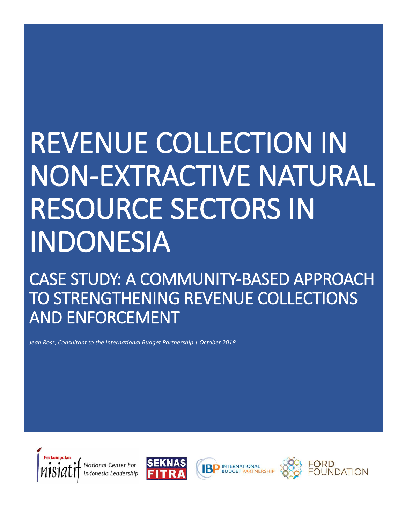# REVENUE COLLECTION IN NON-EXTRACTIVE NATURAL RESOURCE SECTORS IN INDONESIA

CASE STUDY: A COMMUNITY-BASED APPROACH TO STRENGTHENING REVENUE COLLECTIONS AND ENFORCEMENT

*Jean Ross, Consultant to the International Budget Partnership | October 2018*







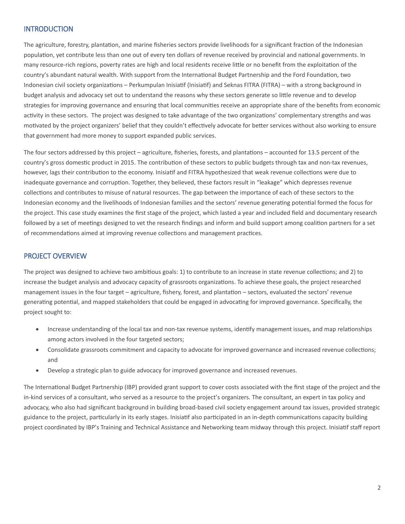## **INTRODUCTION**

The agriculture, forestry, plantation, and marine fisheries sectors provide livelihoods for a significant fraction of the Indonesian population, yet contribute less than one out of every ten dollars of revenue received by provincial and national governments. In many resource-rich regions, poverty rates are high and local residents receive little or no benefit from the exploitation of the country's abundant natural wealth. With support from the International Budget Partnership and the Ford Foundation, two Indonesian civil society organizations – Perkumpulan Inisiatif (Inisiatif) and Seknas FITRA (FITRA) – with a strong background in budget analysis and advocacy set out to understand the reasons why these sectors generate so little revenue and to develop strategies for improving governance and ensuring that local communities receive an appropriate share of the benefits from economic activity in these sectors. The project was designed to take advantage of the two organizations' complementary strengths and was motivated by the project organizers' belief that they couldn't effectively advocate for better services without also working to ensure that government had more money to support expanded public services.

The four sectors addressed by this project – agriculture, fisheries, forests, and plantations – accounted for 13.5 percent of the country's gross domestic product in 2015. The contribution of these sectors to public budgets through tax and non-tax revenues, however, lags their contribution to the economy. Inisiatif and FITRA hypothesized that weak revenue collections were due to inadequate governance and corruption. Together, they believed, these factors result in "leakage" which depresses revenue collections and contributes to misuse of natural resources. The gap between the importance of each of these sectors to the Indonesian economy and the livelihoods of Indonesian families and the sectors' revenue generating potential formed the focus for the project. This case study examines the first stage of the project, which lasted a year and included field and documentary research followed by a set of meetings designed to vet the research findings and inform and build support among coalition partners for a set of recommendations aimed at improving revenue collections and management practices.

#### PROJECT OVERVIEW

The project was designed to achieve two ambitious goals: 1) to contribute to an increase in state revenue collections; and 2) to increase the budget analysis and advocacy capacity of grassroots organizations. To achieve these goals, the project researched management issues in the four target – agriculture, fishery, forest, and plantation – sectors, evaluated the sectors' revenue generating potential, and mapped stakeholders that could be engaged in advocating for improved governance. Specifically, the project sought to:

- Increase understanding of the local tax and non-tax revenue systems, identify management issues, and map relationships among actors involved in the four targeted sectors;
- Consolidate grassroots commitment and capacity to advocate for improved governance and increased revenue collections; and
- Develop a strategic plan to guide advocacy for improved governance and increased revenues.

The International Budget Partnership (IBP) provided grant support to cover costs associated with the first stage of the project and the in-kind services of a consultant, who served as a resource to the project's organizers. The consultant, an expert in tax policy and advocacy, who also had significant background in building broad-based civil society engagement around tax issues, provided strategic guidance to the project, particularly in its early stages. Inisiatif also participated in an in-depth communications capacity building project coordinated by IBP's Training and Technical Assistance and Networking team midway through this project. Inisiatif staff report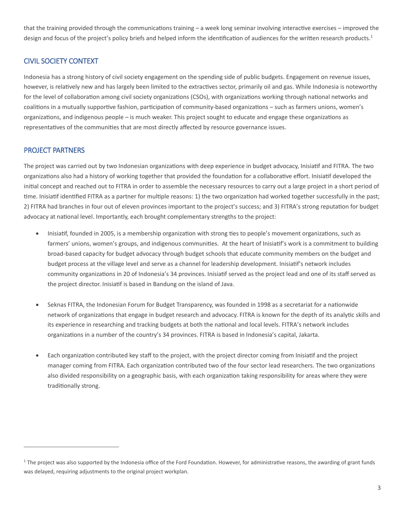that the training provided through the communications training – a week long seminar involving interactive exercises – improved the design and focus of the project's policy briefs and helped inform the identification of audiences for the written research products.<sup>1</sup>

# CIVIL SOCIETY CONTEXT

Indonesia has a strong history of civil society engagement on the spending side of public budgets. Engagement on revenue issues, however, is relatively new and has largely been limited to the extractives sector, primarily oil and gas. While Indonesia is noteworthy for the level of collaboration among civil society organizations (CSOs), with organizations working through national networks and coalitions in a mutually supportive fashion, participation of community-based organizations – such as farmers unions, women's organizations, and indigenous people – is much weaker. This project sought to educate and engage these organizations as representatives of the communities that are most directly affected by resource governance issues.

## PROJECT PARTNERS

 $\overline{a}$ 

The project was carried out by two Indonesian organizations with deep experience in budget advocacy, Inisiatif and FITRA. The two organizations also had a history of working together that provided the foundation for a collaborative effort. Inisiatif developed the initial concept and reached out to FITRA in order to assemble the necessary resources to carry out a large project in a short period of time. Inisiatif identified FITRA as a partner for multiple reasons: 1) the two organization had worked together successfully in the past; 2) FITRA had branches in four out of eleven provinces important to the project's success; and 3) FITRA's strong reputation for budget advocacy at national level. Importantly, each brought complementary strengths to the project:

- Inisiatif, founded in 2005, is a membership organization with strong ties to people's movement organizations, such as farmers' unions, women's groups, and indigenous communities. At the heart of Inisiatif's work is a commitment to building broad-based capacity for budget advocacy through budget schools that educate community members on the budget and budget process at the village level and serve as a channel for leadership development. Inisiatif's network includes community organizations in 20 of Indonesia's 34 provinces. Inisiatif served as the project lead and one of its staff served as the project director. Inisiatif is based in Bandung on the island of Java.
- Seknas FITRA, the Indonesian Forum for Budget Transparency, was founded in 1998 as a secretariat for a nationwide network of organizations that engage in budget research and advocacy. FITRA is known for the depth of its analytic skills and its experience in researching and tracking budgets at both the national and local levels. FITRA's network includes organizations in a number of the country's 34 provinces. FITRA is based in Indonesia's capital, Jakarta.
- Each organization contributed key staff to the project, with the project director coming from Inisiatif and the project manager coming from FITRA. Each organization contributed two of the four sector lead researchers. The two organizations also divided responsibility on a geographic basis, with each organization taking responsibility for areas where they were traditionally strong.

<sup>&</sup>lt;sup>1</sup> The project was also supported by the Indonesia office of the Ford Foundation. However, for administrative reasons, the awarding of grant funds was delayed, requiring adjustments to the original project workplan.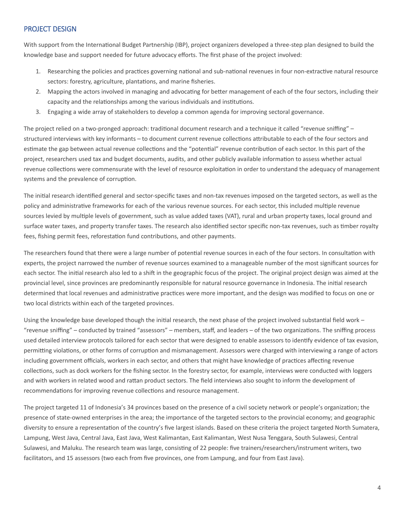# PROJECT DESIGN

With support from the International Budget Partnership (IBP), project organizers developed a three-step plan designed to build the knowledge base and support needed for future advocacy efforts. The first phase of the project involved:

- 1. Researching the policies and practices governing national and sub-national revenues in four non-extractive natural resource sectors: forestry, agriculture, plantations, and marine fisheries.
- 2. Mapping the actors involved in managing and advocating for better management of each of the four sectors, including their capacity and the relationships among the various individuals and institutions.
- 3. Engaging a wide array of stakeholders to develop a common agenda for improving sectoral governance.

The project relied on a two-pronged approach: traditional document research and a technique it called "revenue sniffing" – structured interviews with key informants – to document current revenue collections attributable to each of the four sectors and estimate the gap between actual revenue collections and the "potential" revenue contribution of each sector. In this part of the project, researchers used tax and budget documents, audits, and other publicly available information to assess whether actual revenue collections were commensurate with the level of resource exploitation in order to understand the adequacy of management systems and the prevalence of corruption.

The initial research identified general and sector-specific taxes and non-tax revenues imposed on the targeted sectors, as well as the policy and administrative frameworks for each of the various revenue sources. For each sector, this included multiple revenue sources levied by multiple levels of government, such as value added taxes (VAT), rural and urban property taxes, local ground and surface water taxes, and property transfer taxes. The research also identified sector specific non-tax revenues, such as timber royalty fees, fishing permit fees, reforestation fund contributions, and other payments.

The researchers found that there were a large number of potential revenue sources in each of the four sectors. In consultation with experts, the project narrowed the number of revenue sources examined to a manageable number of the most significant sources for each sector. The initial research also led to a shift in the geographic focus of the project. The original project design was aimed at the provincial level, since provinces are predominantly responsible for natural resource governance in Indonesia. The initial research determined that local revenues and administrative practices were more important, and the design was modified to focus on one or two local districts within each of the targeted provinces.

Using the knowledge base developed though the initial research, the next phase of the project involved substantial field work – "revenue sniffing" – conducted by trained "assessors" – members, staff, and leaders – of the two organizations. The sniffing process used detailed interview protocols tailored for each sector that were designed to enable assessors to identify evidence of tax evasion, permitting violations, or other forms of corruption and mismanagement. Assessors were charged with interviewing a range of actors including government officials, workers in each sector, and others that might have knowledge of practices affecting revenue collections, such as dock workers for the fishing sector. In the forestry sector, for example, interviews were conducted with loggers and with workers in related wood and rattan product sectors. The field interviews also sought to inform the development of recommendations for improving revenue collections and resource management.

The project targeted 11 of Indonesia's 34 provinces based on the presence of a civil society network or people's organization; the presence of state-owned enterprises in the area; the importance of the targeted sectors to the provincial economy; and geographic diversity to ensure a representation of the country's five largest islands. Based on these criteria the project targeted North Sumatera, Lampung, West Java, Central Java, East Java, West Kalimantan, East Kalimantan, West Nusa Tenggara, South Sulawesi, Central Sulawesi, and Maluku. The research team was large, consisting of 22 people: five trainers/researchers/instrument writers, two facilitators, and 15 assessors (two each from five provinces, one from Lampung, and four from East Java).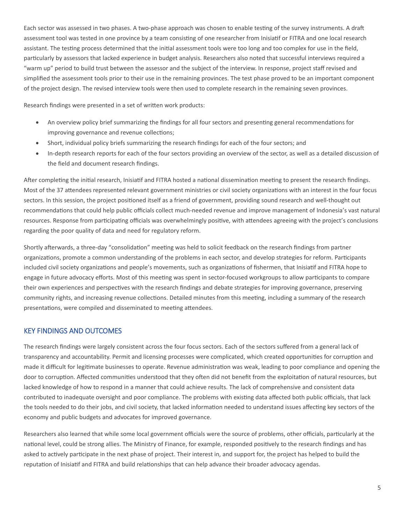Each sector was assessed in two phases. A two-phase approach was chosen to enable testing of the survey instruments. A draft assessment tool was tested in one province by a team consisting of one researcher from Inisiatif or FITRA and one local research assistant. The testing process determined that the initial assessment tools were too long and too complex for use in the field, particularly by assessors that lacked experience in budget analysis. Researchers also noted that successful interviews required a "warm up" period to build trust between the assessor and the subject of the interview. In response, project staff revised and simplified the assessment tools prior to their use in the remaining provinces. The test phase proved to be an important component of the project design. The revised interview tools were then used to complete research in the remaining seven provinces.

Research findings were presented in a set of written work products:

- An overview policy brief summarizing the findings for all four sectors and presenting general recommendations for improving governance and revenue collections;
- Short, individual policy briefs summarizing the research findings for each of the four sectors; and
- In-depth research reports for each of the four sectors providing an overview of the sector, as well as a detailed discussion of the field and document research findings.

After completing the initial research, Inisiatif and FITRA hosted a national dissemination meeting to present the research findings. Most of the 37 attendees represented relevant government ministries or civil society organizations with an interest in the four focus sectors. In this session, the project positioned itself as a friend of government, providing sound research and well-thought out recommendations that could help public officials collect much-needed revenue and improve management of Indonesia's vast natural resources. Response from participating officials was overwhelmingly positive, with attendees agreeing with the project's conclusions regarding the poor quality of data and need for regulatory reform.

Shortly afterwards, a three-day "consolidation" meeting was held to solicit feedback on the research findings from partner organizations, promote a common understanding of the problems in each sector, and develop strategies for reform. Participants included civil society organizations and people's movements, such as organizations of fishermen, that Inisiatif and FITRA hope to engage in future advocacy efforts. Most of this meeting was spent in sector-focused workgroups to allow participants to compare their own experiences and perspectives with the research findings and debate strategies for improving governance, preserving community rights, and increasing revenue collections. Detailed minutes from this meeting, including a summary of the research presentations, were compiled and disseminated to meeting attendees.

#### KEY FINDINGS AND OUTCOMES

The research findings were largely consistent across the four focus sectors. Each of the sectors suffered from a general lack of transparency and accountability. Permit and licensing processes were complicated, which created opportunities for corruption and made it difficult for legitimate businesses to operate. Revenue administration was weak, leading to poor compliance and opening the door to corruption. Affected communities understood that they often did not benefit from the exploitation of natural resources, but lacked knowledge of how to respond in a manner that could achieve results. The lack of comprehensive and consistent data contributed to inadequate oversight and poor compliance. The problems with existing data affected both public officials, that lack the tools needed to do their jobs, and civil society, that lacked information needed to understand issues affecting key sectors of the economy and public budgets and advocates for improved governance.

Researchers also learned that while some local government officials were the source of problems, other officials, particularly at the national level, could be strong allies. The Ministry of Finance, for example, responded positively to the research findings and has asked to actively participate in the next phase of project. Their interest in, and support for, the project has helped to build the reputation of Inisiatif and FITRA and build relationships that can help advance their broader advocacy agendas.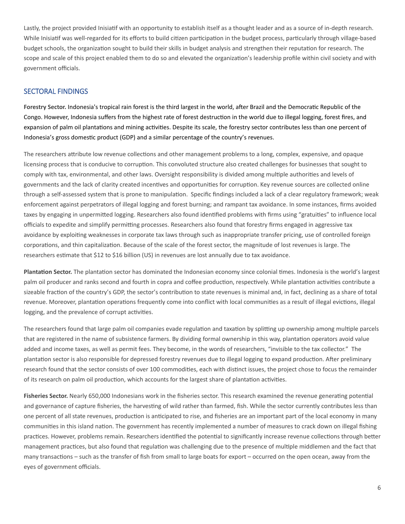Lastly, the project provided Inisiatif with an opportunity to establish itself as a thought leader and as a source of in-depth research. While Inisiatif was well-regarded for its efforts to build citizen participation in the budget process, particularly through village-based budget schools, the organization sought to build their skills in budget analysis and strengthen their reputation for research. The scope and scale of this project enabled them to do so and elevated the organization's leadership profile within civil society and with government officials.

#### SECTORAL FINDINGS

**Forestry Sector.** Indonesia's tropical rain forest is the third largest in the world, after Brazil and the Democratic Republic of the Congo. However, Indonesia suffers from the highest rate of forest destruction in the world due to illegal logging, forest fires, and expansion of palm oil plantations and mining activities. Despite its scale, the forestry sector contributes less than one percent of Indonesia's gross domestic product (GDP) and a similar percentage of the country's revenues.

The researchers attribute low revenue collections and other management problems to a long, complex, expensive, and opaque licensing process that is conducive to corruption. This convoluted structure also created challenges for businesses that sought to comply with tax, environmental, and other laws. Oversight responsibility is divided among multiple authorities and levels of governments and the lack of clarity created incentives and opportunities for corruption. Key revenue sources are collected online through a self-assessed system that is prone to manipulation. Specific findings included a lack of a clear regulatory framework; weak enforcement against perpetrators of illegal logging and forest burning; and rampant tax avoidance. In some instances, firms avoided taxes by engaging in unpermitted logging. Researchers also found identified problems with firms using "gratuities" to influence local officials to expedite and simplify permitting processes. Researchers also found that forestry firms engaged in aggressive tax avoidance by exploiting weaknesses in corporate tax laws through such as inappropriate transfer pricing, use of controlled foreign corporations, and thin capitalization. Because of the scale of the forest sector, the magnitude of lost revenues is large. The researchers estimate that \$12 to \$16 billion (US) in revenues are lost annually due to tax avoidance.

**Plantation Sector.** The plantation sector has dominated the Indonesian economy since colonial times. Indonesia is the world's largest palm oil producer and ranks second and fourth in copra and coffee production, respectively. While plantation activities contribute a sizeable fraction of the country's GDP, the sector's contribution to state revenues is minimal and, in fact, declining as a share of total revenue. Moreover, plantation operations frequently come into conflict with local communities as a result of illegal evictions, illegal logging, and the prevalence of corrupt activities.

The researchers found that large palm oil companies evade regulation and taxation by splitting up ownership among multiple parcels that are registered in the name of subsistence farmers. By dividing formal ownership in this way, plantation operators avoid value added and income taxes, as well as permit fees. They become, in the words of researchers, "invisible to the tax collector." The plantation sector is also responsible for depressed forestry revenues due to illegal logging to expand production. After preliminary research found that the sector consists of over 100 commodities, each with distinct issues, the project chose to focus the remainder of its research on palm oil production, which accounts for the largest share of plantation activities.

**Fisheries Sector.** Nearly 650,000 Indonesians work in the fisheries sector. This research examined the revenue generating potential and governance of capture fisheries, the harvesting of wild rather than farmed, fish. While the sector currently contributes less than one percent of all state revenues, production is anticipated to rise, and fisheries are an important part of the local economy in many communities in this island nation. The government has recently implemented a number of measures to crack down on illegal fishing practices. However, problems remain. Researchers identified the potential to significantly increase revenue collections through better management practices, but also found that regulation was challenging due to the presence of multiple middlemen and the fact that many transactions – such as the transfer of fish from small to large boats for export – occurred on the open ocean, away from the eyes of government officials.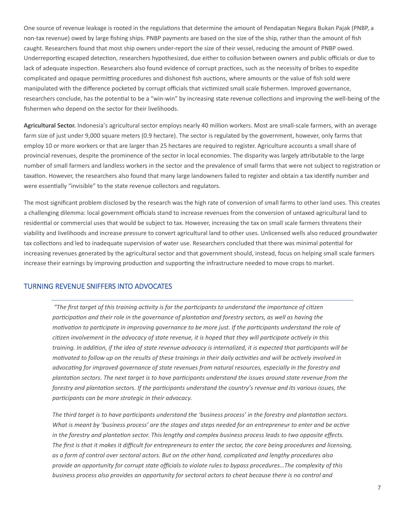One source of revenue leakage is rooted in the regulations that determine the amount of Pendapatan Negara Bukan Pajak (PNBP, a non-tax revenue) owed by large fishing ships. PNBP payments are based on the size of the ship, rather than the amount of fish caught. Researchers found that most ship owners under-report the size of their vessel, reducing the amount of PNBP owed. Underreporting escaped detection, researchers hypothesized, due either to collusion between owners and public officials or due to lack of adequate inspection. Researchers also found evidence of corrupt practices, such as the necessity of bribes to expedite complicated and opaque permitting procedures and dishonest fish auctions, where amounts or the value of fish sold were manipulated with the difference pocketed by corrupt officials that victimized small scale fishermen. Improved governance, researchers conclude, has the potential to be a "win-win" by increasing state revenue collections and improving the well-being of the fishermen who depend on the sector for their livelihoods.

**Agricultural Sector.** Indonesia's agricultural sector employs nearly 40 million workers. Most are small-scale farmers, with an average farm size of just under 9,000 square meters (0.9 hectare). The sector is regulated by the government, however, only farms that employ 10 or more workers or that are larger than 25 hectares are required to register. Agriculture accounts a small share of provincial revenues, despite the prominence of the sector in local economies. The disparity was largely attributable to the large number of small farmers and landless workers in the sector and the prevalence of small farms that were not subject to registration or taxation. However, the researchers also found that many large landowners failed to register and obtain a tax identify number and were essentially "invisible" to the state revenue collectors and regulators.

The most significant problem disclosed by the research was the high rate of conversion of small farms to other land uses. This creates a challenging dilemma: local government officials stand to increase revenues from the conversion of untaxed agricultural land to residential or commercial uses that would be subject to tax. However, increasing the tax on small scale farmers threatens their viability and livelihoods and increase pressure to convert agricultural land to other uses. Unlicensed wells also reduced groundwater tax collections and led to inadequate supervision of water use. Researchers concluded that there was minimal potential for increasing revenues generated by the agricultural sector and that government should, instead, focus on helping small scale farmers increase their earnings by improving production and supporting the infrastructure needed to move crops to market.

#### TURNING REVENUE SNIFFERS INTO ADVOCATES

 *"The first target of this training activity is for the participants to understand the importance of citizen participation and their role in the governance of plantation and forestry sectors, as well as having the motivation to participate in improving governance to be more just. If the participants understand the role of citizen involvement in the advocacy of state revenue, it is hoped that they will participate actively in this training. In addition, if the idea of state revenue advocacy is internalized, it is expected that participants will be motivated to follow up on the results of these trainings in their daily activities and will be actively involved in advocating for improved governance of state revenues from natural resources, especially in the forestry and plantation sectors. The next target is to have participants understand the issues around state revenue from the forestry and plantation sectors. If the participants understand the country's revenue and its various issues, the participants can be more strategic in their advocacy.* 

*The third target is to have participants understand the 'business process' in the forestry and plantation sectors. What is meant by 'business process' are the stages and steps needed for an entrepreneur to enter and be active in the forestry and plantation sector. This lengthy and complex business process leads to two opposite effects. The first is that it makes it difficult for entrepreneurs to enter the sector, the core being procedures and licensing, as a form of control over sectoral actors. But on the other hand, complicated and lengthy procedures also provide an opportunity for corrupt state officials to violate rules to bypass procedures…The complexity of this business process also provides an opportunity for sectoral actors to cheat because there is no control and*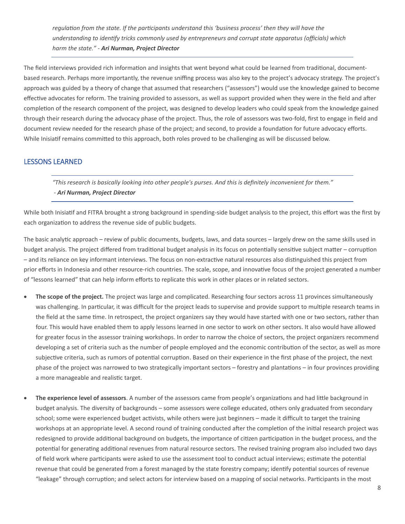*regulation from the state. If the participants understand this 'business process' then they will have the understanding to identify tricks commonly used by entrepreneurs and corrupt state apparatus (officials) which harm the state." - Ari Nurman, Project Director*

The field interviews provided rich information and insights that went beyond what could be learned from traditional, documentbased research. Perhaps more importantly, the revenue sniffing process was also key to the project's advocacy strategy. The project's approach was guided by a theory of change that assumed that researchers ("assessors") would use the knowledge gained to become effective advocates for reform. The training provided to assessors, as well as support provided when they were in the field and after completion of the research component of the project, was designed to develop leaders who could speak from the knowledge gained through their research during the advocacy phase of the project. Thus, the role of assessors was two-fold, first to engage in field and document review needed for the research phase of the project; and second, to provide a foundation for future advocacy efforts. While Inisiatif remains committed to this approach, both roles proved to be challenging as will be discussed below.

#### LESSONS LEARNED

*"This research is basically looking into other people's purses. And this is definitely inconvenient for them." - Ari Nurman, Project Director*

While both Inisiatif and FITRA brought a strong background in spending-side budget analysis to the project, this effort was the first by each organization to address the revenue side of public budgets.

The basic analytic approach – review of public documents, budgets, laws, and data sources – largely drew on the same skills used in budget analysis. The project differed from traditional budget analysis in its focus on potentially sensitive subject matter – corruption – and its reliance on key informant interviews. The focus on non-extractive natural resources also distinguished this project from prior efforts in Indonesia and other resource-rich countries. The scale, scope, and innovative focus of the project generated a number of "lessons learned" that can help inform efforts to replicate this work in other places or in related sectors.

- **The scope of the project.** The project was large and complicated. Researching four sectors across 11 provinces simultaneously was challenging. In particular, it was difficult for the project leads to supervise and provide support to multiple research teams in the field at the same time. In retrospect, the project organizers say they would have started with one or two sectors, rather than four. This would have enabled them to apply lessons learned in one sector to work on other sectors. It also would have allowed for greater focus in the assessor training workshops. In order to narrow the choice of sectors, the project organizers recommend developing a set of criteria such as the number of people employed and the economic contribution of the sector, as well as more subjective criteria, such as rumors of potential corruption. Based on their experience in the first phase of the project, the next phase of the project was narrowed to two strategically important sectors – forestry and plantations – in four provinces providing a more manageable and realistic target.
- **The experience level of assessors**. A number of the assessors came from people's organizations and had little background in budget analysis. The diversity of backgrounds – some assessors were college educated, others only graduated from secondary school; some were experienced budget activists, while others were just beginners – made it difficult to target the training workshops at an appropriate level. A second round of training conducted after the completion of the initial research project was redesigned to provide additional background on budgets, the importance of citizen participation in the budget process, and the potential for generating additional revenues from natural resource sectors. The revised training program also included two days of field work where participants were asked to use the assessment tool to conduct actual interviews; estimate the potential revenue that could be generated from a forest managed by the state forestry company; identify potential sources of revenue "leakage" through corruption; and select actors for interview based on a mapping of social networks. Participants in the most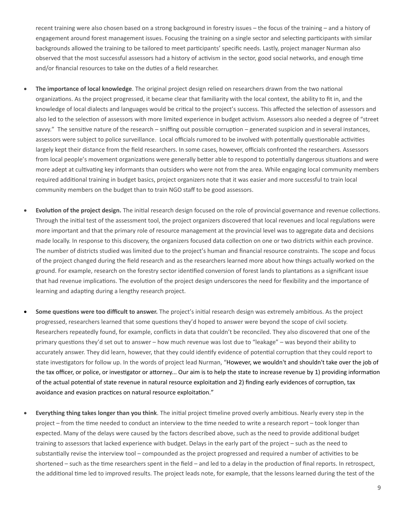recent training were also chosen based on a strong background in forestry issues – the focus of the training – and a history of engagement around forest management issues. Focusing the training on a single sector and selecting participants with similar backgrounds allowed the training to be tailored to meet participants' specific needs. Lastly, project manager Nurman also observed that the most successful assessors had a history of activism in the sector, good social networks, and enough time and/or financial resources to take on the duties of a field researcher.

- **The importance of local knowledge**. The original project design relied on researchers drawn from the two national organizations. As the project progressed, it became clear that familiarity with the local context, the ability to fit in, and the knowledge of local dialects and languages would be critical to the project's success. This affected the selection of assessors and also led to the selection of assessors with more limited experience in budget activism. Assessors also needed a degree of "street savvy." The sensitive nature of the research – sniffing out possible corruption – generated suspicion and in several instances, assessors were subject to police surveillance. Local officials rumored to be involved with potentially questionable activities largely kept their distance from the field researchers. In some cases, however, officials confronted the researchers. Assessors from local people's movement organizations were generally better able to respond to potentially dangerous situations and were more adept at cultivating key informants than outsiders who were not from the area. While engaging local community members required additional training in budget basics, project organizers note that it was easier and more successful to train local community members on the budget than to train NGO staff to be good assessors.
- **Evolution of the project design.** The initial research design focused on the role of provincial governance and revenue collections. Through the initial test of the assessment tool, the project organizers discovered that local revenues and local regulations were more important and that the primary role of resource management at the provincial level was to aggregate data and decisions made locally. In response to this discovery, the organizers focused data collection on one or two districts within each province. The number of districts studied was limited due to the project's human and financial resource constraints. The scope and focus of the project changed during the field research and as the researchers learned more about how things actually worked on the ground. For example, research on the forestry sector identified conversion of forest lands to plantations as a significant issue that had revenue implications. The evolution of the project design underscores the need for flexibility and the importance of learning and adapting during a lengthy research project.
- **Some questions were too difficult to answer.** The project's initial research design was extremely ambitious. As the project progressed, researchers learned that some questions they'd hoped to answer were beyond the scope of civil society. Researchers repeatedly found, for example, conflicts in data that couldn't be reconciled. They also discovered that one of the primary questions they'd set out to answer – how much revenue was lost due to "leakage" – was beyond their ability to accurately answer. They did learn, however, that they could identify evidence of potential corruption that they could report to state investigators for follow up. In the words of project lead Nurman, "However, we wouldn't and shouldn't take over the job of the tax officer, or police, or investigator or attorney... Our aim is to help the state to increase revenue by 1) providing information of the actual potential of state revenue in natural resource exploitation and 2) finding early evidences of corruption, tax avoidance and evasion practices on natural resource exploitation."
- **Everything thing takes longer than you think**. The initial project timeline proved overly ambitious. Nearly every step in the project – from the time needed to conduct an interview to the time needed to write a research report – took longer than expected. Many of the delays were caused by the factors described above, such as the need to provide additional budget training to assessors that lacked experience with budget. Delays in the early part of the project – such as the need to substantially revise the interview tool – compounded as the project progressed and required a number of activities to be shortened – such as the time researchers spent in the field – and led to a delay in the production of final reports. In retrospect, the additional time led to improved results. The project leads note, for example, that the lessons learned during the test of the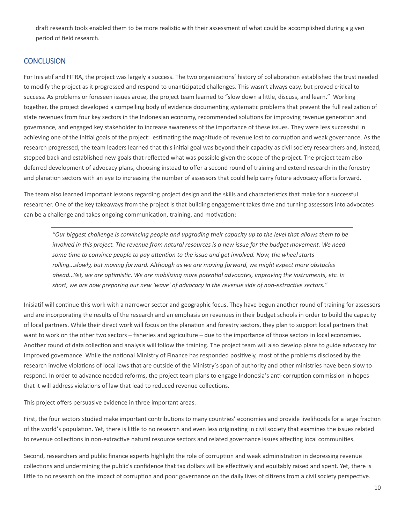draft research tools enabled them to be more realistic with their assessment of what could be accomplished during a given period of field research.

#### **CONCLUSION**

For Inisiatif and FITRA, the project was largely a success. The two organizations' history of collaboration established the trust needed to modify the project as it progressed and respond to unanticipated challenges. This wasn't always easy, but proved critical to success. As problems or foreseen issues arose, the project team learned to "slow down a little, discuss, and learn." Working together, the project developed a compelling body of evidence documenting systematic problems that prevent the full realization of state revenues from four key sectors in the Indonesian economy, recommended solutions for improving revenue generation and governance, and engaged key stakeholder to increase awareness of the importance of these issues. They were less successful in achieving one of the initial goals of the project: estimating the magnitude of revenue lost to corruption and weak governance. As the research progressed, the team leaders learned that this initial goal was beyond their capacity as civil society researchers and, instead, stepped back and established new goals that reflected what was possible given the scope of the project. The project team also deferred development of advocacy plans, choosing instead to offer a second round of training and extend research in the forestry and planation sectors with an eye to increasing the number of assessors that could help carry future advocacy efforts forward.

The team also learned important lessons regarding project design and the skills and characteristics that make for a successful researcher. One of the key takeaways from the project is that building engagement takes time and turning assessors into advocates can be a challenge and takes ongoing communication, training, and motivation:

*"Our biggest challenge is convincing people and upgrading their capacity up to the level that allows them to be involved in this project. The revenue from natural resources is a new issue for the budget movement. We need some time to convince people to pay attention to the issue and get involved. Now, the wheel starts rolling...slowly, but moving forward. Although as we are moving forward, we might expect more obstacles ahead...Yet, we are optimistic. We are mobilizing more potential advocates, improving the instruments, etc. In short, we are now preparing our new 'wave' of advocacy in the revenue side of non-extractive sectors."*

Inisiatif will continue this work with a narrower sector and geographic focus. They have begun another round of training for assessors and are incorporating the results of the research and an emphasis on revenues in their budget schools in order to build the capacity of local partners. While their direct work will focus on the planation and forestry sectors, they plan to support local partners that want to work on the other two sectors – fisheries and agriculture – due to the importance of those sectors in local economies. Another round of data collection and analysis will follow the training. The project team will also develop plans to guide advocacy for improved governance. While the national Ministry of Finance has responded positively, most of the problems disclosed by the research involve violations of local laws that are outside of the Ministry's span of authority and other ministries have been slow to respond. In order to advance needed reforms, the project team plans to engage Indonesia's anti-corruption commission in hopes that it will address violations of law that lead to reduced revenue collections.

This project offers persuasive evidence in three important areas.

First, the four sectors studied make important contributions to many countries' economies and provide livelihoods for a large fraction of the world's population. Yet, there is little to no research and even less originating in civil society that examines the issues related to revenue collections in non-extractive natural resource sectors and related governance issues affecting local communities.

Second, researchers and public finance experts highlight the role of corruption and weak administration in depressing revenue collections and undermining the public's confidence that tax dollars will be effectively and equitably raised and spent. Yet, there is little to no research on the impact of corruption and poor governance on the daily lives of citizens from a civil society perspective.